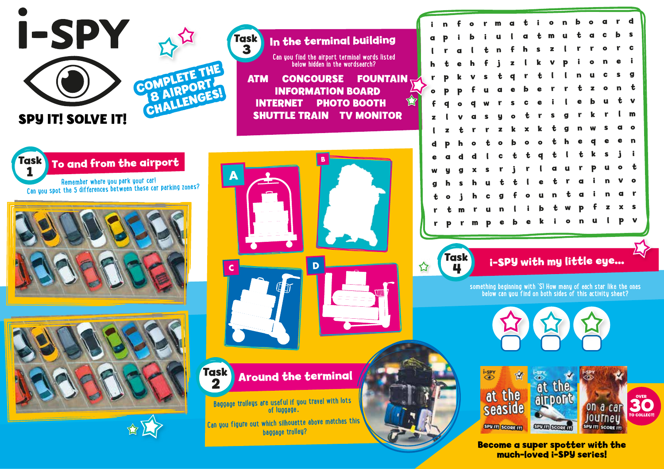